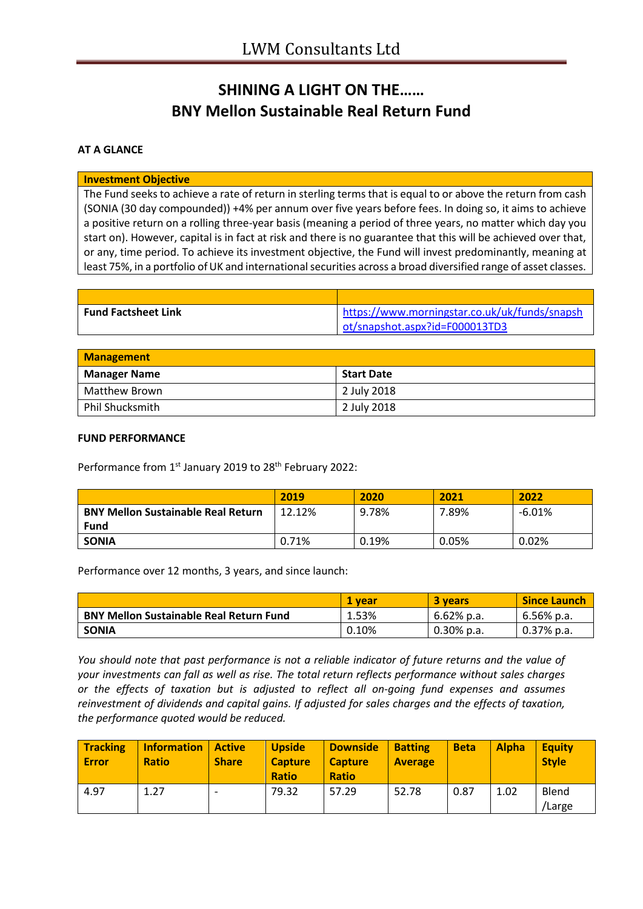# **SHINING A LIGHT ON THE…… BNY Mellon Sustainable Real Return Fund**

## **AT A GLANCE**

### **Investment Objective**

The Fund seeks to achieve a rate of return in sterling terms that is equal to or above the return from cash (SONIA (30 day compounded)) +4% per annum over five years before fees. In doing so, it aims to achieve a positive return on a rolling three-year basis (meaning a period of three years, no matter which day you start on). However, capital is in fact at risk and there is no guarantee that this will be achieved over that, or any, time period. To achieve its investment objective, the Fund will invest predominantly, meaning at least 75%, in a portfolio of UK and international securities across a broad diversified range of asset classes.

| <b>Fund Factsheet Link</b> | https://www.morningstar.co.uk/uk/funds/snapsh |
|----------------------------|-----------------------------------------------|
|                            | ot/snapshot.aspx?id=F000013TD3                |

| <b>Management</b>   |             |  |
|---------------------|-------------|--|
| <b>Manager Name</b> | Start Date  |  |
| Matthew Brown       | 2 July 2018 |  |
| Phil Shucksmith     | 2 July 2018 |  |

#### **FUND PERFORMANCE**

Performance from 1st January 2019 to 28<sup>th</sup> February 2022:

|                                           | 2019   | 2020  | 2021  | 2022   |
|-------------------------------------------|--------|-------|-------|--------|
| <b>BNY Mellon Sustainable Real Return</b> | 12.12% | 9.78% | 7.89% | -6.01% |
| Fund                                      |        |       |       |        |
| <b>SONIA</b>                              | 0.71%  | 0.19% | 0.05% | 0.02%  |

Performance over 12 months, 3 years, and since launch:

|                                                | 1 vear | <b>3 years</b> | <b>Since Launch</b> |
|------------------------------------------------|--------|----------------|---------------------|
| <b>BNY Mellon Sustainable Real Return Fund</b> | 1.53%  | $6.62\%$ p.a.  | 6.56% p.a.          |
| <b>SONIA</b>                                   | 0.10%  | $0.30\%$ p.a.  | $0.37\%$ p.a.       |

*You should note that past performance is not a reliable indicator of future returns and the value of your investments can fall as well as rise. The total return reflects performance without sales charges or the effects of taxation but is adjusted to reflect all on-going fund expenses and assumes reinvestment of dividends and capital gains. If adjusted for sales charges and the effects of taxation, the performance quoted would be reduced.*

| <b>Tracking</b><br><b>Error</b> | <b>Information</b><br><b>Ratio</b> | <b>Active</b><br><b>Share</b> | <b>Upside</b><br><b>Capture</b><br><b>Ratio</b> | <b>Downside</b><br><b>Capture</b><br><b>Ratio</b> | <b>Batting</b><br><b>Average</b> | <b>Beta</b> | <b>Alpha</b> | <b>Equity</b><br><b>Style</b> |
|---------------------------------|------------------------------------|-------------------------------|-------------------------------------------------|---------------------------------------------------|----------------------------------|-------------|--------------|-------------------------------|
| 4.97                            | 1.27                               |                               | 79.32                                           | 57.29                                             | 52.78                            | 0.87        | 1.02         | Blend<br>'Large               |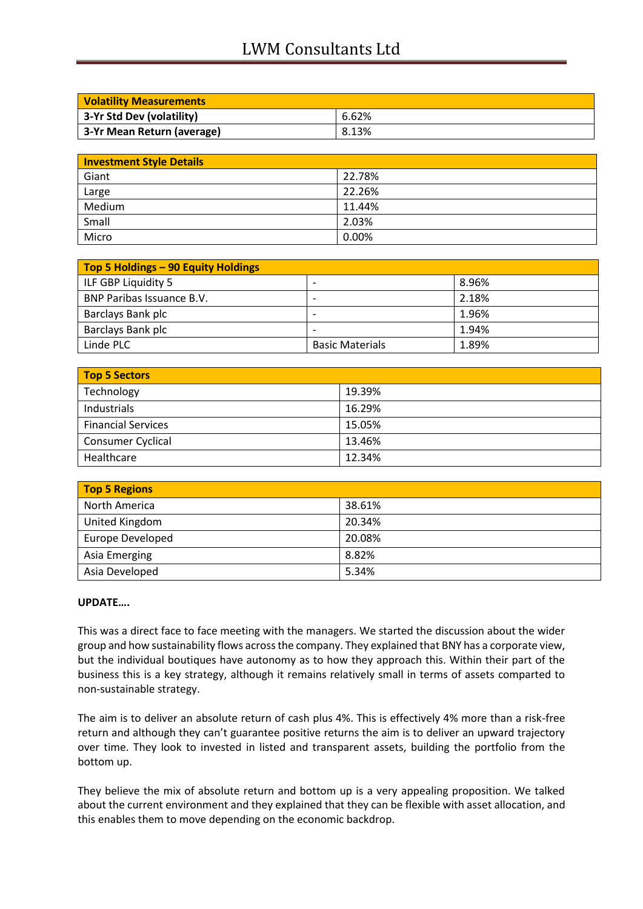# LWM Consultants Ltd

| <b>Volatility Measurements</b> |       |
|--------------------------------|-------|
| 3-Yr Std Dev (volatility)      | 6.62% |
| 3-Yr Mean Return (average)     | 8.13% |

| <b>Investment Style Details</b> |        |
|---------------------------------|--------|
| Giant                           | 22.78% |
| Large                           | 22.26% |
| Medium                          | 11.44% |
| Small                           | 2.03%  |
| Micro                           | 0.00%  |

| Top 5 Holdings – 90 Equity Holdings |                          |       |
|-------------------------------------|--------------------------|-------|
| ILF GBP Liquidity 5                 | $\overline{\phantom{0}}$ | 8.96% |
| BNP Paribas Issuance B.V.           | -                        | 2.18% |
| Barclays Bank plc                   | -                        | 1.96% |
| Barclays Bank plc                   |                          | 1.94% |
| Linde PLC                           | <b>Basic Materials</b>   | 1.89% |

| <b>Top 5 Sectors</b>      |        |  |
|---------------------------|--------|--|
| Technology                | 19.39% |  |
| Industrials               | 16.29% |  |
| <b>Financial Services</b> | 15.05% |  |
| Consumer Cyclical         | 13.46% |  |
| Healthcare                | 12.34% |  |

| <b>Top 5 Regions</b> |        |  |
|----------------------|--------|--|
| North America        | 38.61% |  |
| United Kingdom       | 20.34% |  |
| Europe Developed     | 20.08% |  |
| Asia Emerging        | 8.82%  |  |
| Asia Developed       | 5.34%  |  |

### **UPDATE….**

This was a direct face to face meeting with the managers. We started the discussion about the wider group and how sustainability flows across the company. They explained that BNY has a corporate view, but the individual boutiques have autonomy as to how they approach this. Within their part of the business this is a key strategy, although it remains relatively small in terms of assets comparted to non-sustainable strategy.

The aim is to deliver an absolute return of cash plus 4%. This is effectively 4% more than a risk-free return and although they can't guarantee positive returns the aim is to deliver an upward trajectory over time. They look to invested in listed and transparent assets, building the portfolio from the bottom up.

They believe the mix of absolute return and bottom up is a very appealing proposition. We talked about the current environment and they explained that they can be flexible with asset allocation, and this enables them to move depending on the economic backdrop.